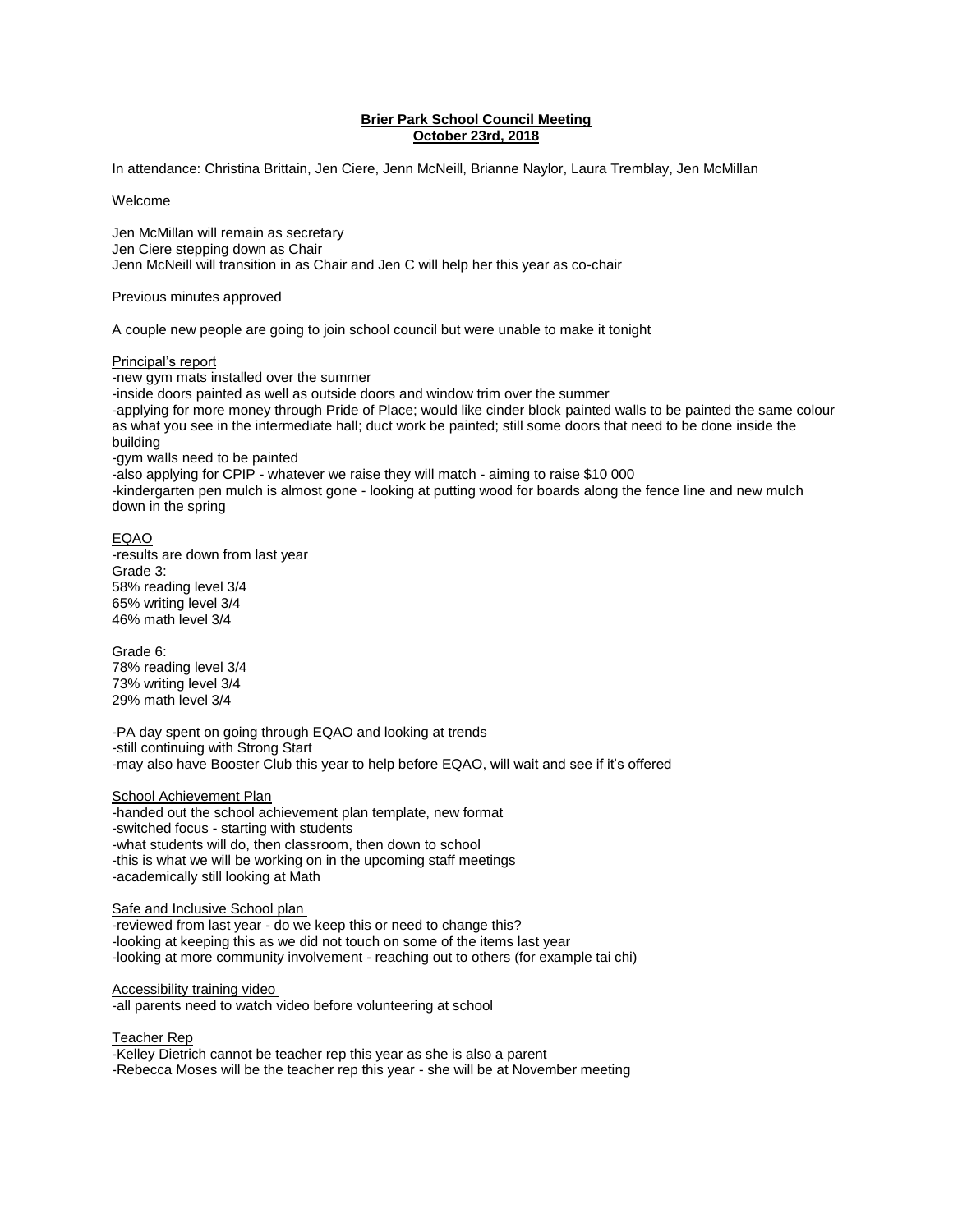# **Brier Park School Council Meeting October 23rd, 2018**

In attendance: Christina Brittain, Jen Ciere, Jenn McNeill, Brianne Naylor, Laura Tremblay, Jen McMillan

Welcome

Jen McMillan will remain as secretary Jen Ciere stepping down as Chair Jenn McNeill will transition in as Chair and Jen C will help her this year as co-chair

Previous minutes approved

A couple new people are going to join school council but were unable to make it tonight

#### Principal's report

-new gym mats installed over the summer -inside doors painted as well as outside doors and window trim over the summer -applying for more money through Pride of Place; would like cinder block painted walls to be painted the same colour as what you see in the intermediate hall; duct work be painted; still some doors that need to be done inside the building -gym walls need to be painted

-also applying for CPIP - whatever we raise they will match - aiming to raise \$10 000 -kindergarten pen mulch is almost gone - looking at putting wood for boards along the fence line and new mulch down in the spring

#### EQAO

-results are down from last year Grade 3: 58% reading level 3/4 65% writing level 3/4 46% math level 3/4

Grade 6: 78% reading level 3/4 73% writing level 3/4 29% math level 3/4

-PA day spent on going through EQAO and looking at trends -still continuing with Strong Start -may also have Booster Club this year to help before EQAO, will wait and see if it's offered

### School Achievement Plan

-handed out the school achievement plan template, new format -switched focus - starting with students -what students will do, then classroom, then down to school -this is what we will be working on in the upcoming staff meetings -academically still looking at Math

## Safe and Inclusive School plan

-reviewed from last year - do we keep this or need to change this? -looking at keeping this as we did not touch on some of the items last year -looking at more community involvement - reaching out to others (for example tai chi)

#### Accessibility training video

-all parents need to watch video before volunteering at school

Teacher Rep

-Kelley Dietrich cannot be teacher rep this year as she is also a parent

-Rebecca Moses will be the teacher rep this year - she will be at November meeting